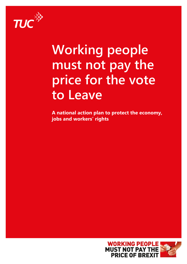

# **Working people must not pay the price for the vote to Leave**

**A national action plan to protect the economy, jobs and workers' rights**

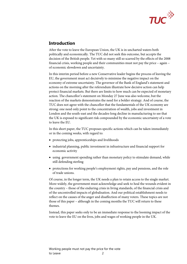

# **Introduction**

After the vote to leave the European Union, the UK is in uncharted waters both politically and economically. The TUC did not seek this outcome, but accepts the decision of the British people. Yet with so many still so scarred by the effects of the 2008 financial crisis, working people and their communities must not pay the price – again – of economic slowdown and uncertainty.

In this interim period before a new Conservative leader begins the process of leaving the EU, the government must act decisively to minimise the negative impact on the economy of extreme uncertainty. The governor of the Bank of England's statement and actions on the morning after the referendum illustrate how decisive action can help protect financial markets. But there are limits to how much can be expected of monetary action. The chancellor's statement on Monday 27 June was also welcome, but the reaction of the markets demonstrates the need for a bolder strategy. And of course, the TUC does not agree with the chancellor that the fundamentals of the UK economy are strong: one need only point to the concentration of wealth, jobs and investment in London and the south-east and the decades-long decline in manufacturing to see that the UK is exposed to significant risk compounded by the economic uncertainty of a vote to leave the EU.

In this short paper, the TUC proposes specific actions which can be taken immediately or in the coming weeks, with regard to:

- protecting jobs, apprenticeships and livelihoods
- industrial planning, public investment in infrastructure and financial support for economic activity
- using government spending rather than monetary policy to stimulate demand, while still defending sterling
- protections for working people's employment rights, pay and pensions, and the role of trade unions.

Of course, in the longer term, the UK needs a plan to retain access to the single market. More widely, the government must acknowledge and seek to heal the wounds evident in the country – those of the enduring crisis in living standards, of the financial crisis and of the uncontrolled impacts of globalisation. And our political establishment needs to reflect on the causes of the anger and disaffection of many voters. These topics are not those of this paper – although in the coming months the TUC will return to these themes.

Instead, this paper seeks only to be an immediate response to the looming impact of the vote to leave the EU on the lives, jobs and wages of working people in the UK.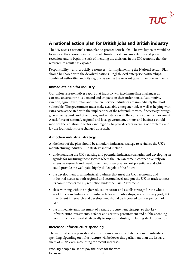

# **A national action plan for British jobs and British industry**

The UK needs a national action plan to protect British jobs. The two key roles would be to support the economy in the present climate of extreme uncertainty and prevent recession, and to begin the task of mending the divisions in the UK economy that the referendum result has exposed.

Responsibility – and, crucially, resources – for implementing the National Action Plan should be shared with the devolved nations, English local enterprise partnerships, combined authorities and city regions as well as the relevant government departments.

#### **Immediate help for industry**

Our union representatives report that industry will face immediate challenges as extreme uncertainty hits demand and impacts on their order books. Automotive, aviation, agriculture, retail and financial service industries are immediately the most vulnerable. The government must make available emergency aid, as well as helping with extra costs associated with the implications of the referendum vote, if necessary through guaranteeing bank and other loans, and assistance with the costs of currency movement. A task force of national, regional and local government, unions and business should monitor the situation in sectors and regions, to provide early warning of problems, and lay the foundations for a changed approach.

#### **A modern industrial strategy**

At the heart of the plan should be a modern industrial strategy to revitalise the UK's manufacturing industry. The strategy should include:

- understanding the UK's existing and potential industrial strengths, and developing an agenda for nurturing those sectors where the UK can remain competitive, rely on extensive research and development and have great export potential – and which could provide the well-paid, highly skilled jobs of the future
- the development of an industrial roadmap that meet the UK's economic and industrial needs, at both regional and sectoral level, and put the UK on track to meet its commitments to CO<sub>2</sub> reduction under the Paris Agreement
- close working with the higher education sector and a skills strategy for the whole workforce – including a substantial role for apprenticeships; as a subsidiary goal, UK investment in research and development should be increased to three per cent of GDP.
- the immediate announcement of a smart procurement strategy, so that key infrastructure investments, defence and security procurement and public spending commitments are used strategically to support industry, including steel production.

#### **Increased infrastructure spending**

The national action plan should also announce an immediate increase in infrastructure spending. Spending on infrastructure will be lower this parliament than the last as a share of GDP, even accounting for recent increases.

Working people must not pay the price for the vote to Leave 3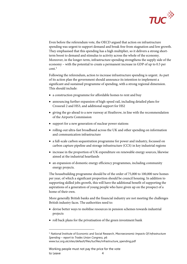

Even before the referendum vote, the OECD argued that action on infrastructure spending was urgent to support demand and break free from stagnation and low growth. They emphasised that this spending has a high multiplier, so it delivers a strong shortterm boost to demand and stimulus to activity across the whole of the economy. Moreover, in the longer-term, infrastructure spending strengthens the supply side of the economy – with the potential to create a permanent increase in GDP of up to 0.5 per cent.[1](#page-3-0)

Following the referendum, action to increase infrastructure spending is urgent. As part of its action plan the government should announce its intention to implement a significant and sustained programme of spending, with a strong regional dimension. This should include:

- a construction programme for affordable homes to rent and buy
- announcing further expansion of high-speed rail, including detailed plans for Crossrail 2 and HS3, and additional support for HS2
- giving the go-ahead to a new runway at Heathrow, in line with the recommendation of the Airports Commission
- support for a new generation of nuclear power stations
- rolling-out ultra-fast broadband across the UK and other spending on information and communication infrastructure
- a full-scale carbon sequestration programme for power and industry, focussed on carbon capture pipeline and storage infrastructure (CCS) in key industrial regions
- increase in the proportion of UK expenditure on renewable energy sources, likewise aimed at the industrial heartlands
- an expansion of domestic energy efficiency programmes, including community energy projects.

The housebuilding programme should be of the order of 75,000 to 100,000 new homes per year, of which a significant proportion should be council housing. In addition to supporting skilled jobs growth, this will have the additional benefit of supporting the aspirations of a generation of young people who have given up on the prospect of a home of their own.

More generally British banks and the financial industry are not meeting the challenges British industry faces. The authorities need to:

- devise better ways to mobilise resources in pension schemes towards industrial projects
- roll back plans for the privatisation of the green investment bank

Working people must not pay the price for the vote to Leave 4

-

<span id="page-3-0"></span><sup>1</sup> National Institute of Economic and Social Research, *Macroeconomic Impacts Of Infrastructure Spending – report to Trades Union Congress,* p6 www.tuc.org.uk/sites/default/files/tucfiles/infrastructure\_spending.pdf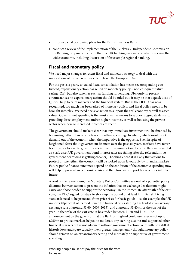

- introduce vital borrowing plans for the British Business Bank
- conduct a review of the implementation of the 'Vickers' / Independent Commission on Banking proposals to ensure that the UK banking system is capable of serving the wider economy, including discussion of for example regional banking.

## **Fiscal and monetary policy**

We need major changes to recent fiscal and monetary strategy to deal with the implications of the referendum vote to leave the European Union**.** 

For the past six years, so-called fiscal consolidation has meant severe spending cuts. Instead, expansionary action has relied on monetary policy – not least quantitative easing (QE), but also schemes such as funding for lending. Obviously in present circumstances no expansionary action should be ruled out: it may be that a quick dose of QE will help to calm markets and the financial system. But as the OECD has now recognised, too much has been asked of monetary policy, and fiscal policy needs to be brought into play. We need decisive action to support the real economy as well as asset values. Government spending is the most effective means to support aggregate demand, providing direct employment and/or higher incomes, as well as boosting the private sector when new or increased incomes are spent.

The government should make it clear that any immediate investment will be financed by borrowing rather than raising taxes or cutting spending elsewhere, which would suck demand out of the economy when the imperative is the opposite. Even in spite of heightened fears about government finances over the past six years, markets have never been readier to lend to governments in major economies (and because they are regarded as a safe asset UK government bond interest rates are falling after the referendum, so government borrowing is getting cheaper). Looking ahead it is likely that actions to protect or strengthen the economy will be looked upon favourably by financial markets. Future public finance outcomes depend on the condition of the economy: spending now will help to prevent an economic crisis and therefore will support tax revenues into the future.

Ahead of the referendum, the Monetary Policy Committee warned of a potential policy dilemma between action to prevent the inflation that an exchange devaluation might cause and those needed to support the economy. In the immediate aftermath of the exit vote, the TUC argued for steps to shore up the pound or at least limit its fall. Living standards need to be protected from price rises for basic goods – as, for example, the UK imports 40per cent of its food. Since the financial crisis sterling has traded at an average exchange rate of around \$1.60 (2009-2015), and at around \$1.40 since the start of the year. In the wake of the exit vote, it has traded between \$1.30 and \$1.40. The announcement by the governor that the Bank of England could use reserves of up to £250bn to protect markets helped to moderate any sterling decline and supported other financial markets but is not adequate without government action. With inflation still at historic lows and spare capacity likely greater than generally thought, monetary policy should remain on an expansionary setting and ultimately be supportive of government spending.

Working people must not pay the price for the vote to Leave 5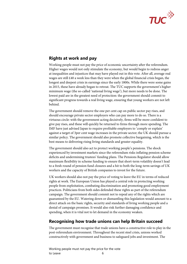

## **Rights at work and pay**

Working people must not pay the price of economic uncertainty after the referendum. Higher wages would not only stimulate the economy, but would begin to redress anger at inequalities and injustices that may have played out in this vote. After all, average real wages are still  $\text{\pounds}40$  a week less than they were when the global financial crisis began, the longest and deepest crisis in earnings since the early 1800s. While there were some gains in 2015, these have already began to retreat. The TUC supports the government's higher minimum wage (the so-called 'national living wage'), but more needs to be done. The lowest paid are in the greatest need of protection: the government should commit to significant progress towards a real living wage, ensuring that young workers are not left behind.

The government should remove the one per cent cap on public sector pay rises, and should encourage private sector employers who can pay more to do so. There is a virtuous circle: with the government acting decisively, firms will be more confident to give pay rises, and these will quickly be returned to firms through more spending. The IMF have just advised Japan to require profitable employers to 'comply or explain' against a target of 3per cent wage increases in the private sector; the UK should pursue a similar policy. The government should also promote collective bargaining, which is the best means to delivering rising living standards and greater equality.

The government should also act to protect working people's pensions. The shock experienced by investment markets since the referendum risks inflating pension scheme deficits and undermining trustees' funding plans. The Pensions Regulator should allow maximum flexibility in scheme funding to ensure that short-term volatility doesn't lead to a fresh round of pension fund closures and a hit to both the long-term savings of UK workers and the capacity of British companies to invest for the future.

UK workers should also not pay the price of voting to leave the EU in terms of reduced rights at work. The European Union has played a central role in protecting working people from exploitation, combating discrimination and promoting good employment practices. Politicians from both sides defended these rights as part of the referendum campaign. The government should commit not to repeal any of the rights which are guaranteed by the EU. Watering down or dismantling this legislation would amount to a direct attack on the basic rights, security and standards of living working people and a denial of campaign promises. It would also risk further damaging confidence and spending, when it is vital not to let demand in the economy weaken.

## **Recognising how trade unions can help Britain succeed**

The government must recognise that trade unions have a constructive role to play in the post-referendum environment. Throughout the recent steel crisis, unions worked constructively with government and business to safeguard jobs and investment. The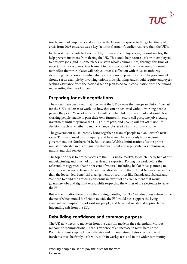

involvement of employers and unions in the German response to the global financial crisis from 2008 onwards was a key factor in Germany's earlier recovery than the UK's.

In the wake of the vote to leave the EU, unions and employers can, by working together, help prevent investors from fleeing the UK. This could help secure deals with employers to preserve jobs (and in some places, sustain whole communities) through this time of uncertainty. For workers, involvement in decisions about how the referendum result may affect their workplaces will help counter disaffection with those in authority stemming from economic vulnerability and a sense of powerlessness. The government should set an example by involving unions in its planning, and should require employers seeking assistance from the national action plan to do so in consultation with the unions representing their workforces.

## **Preparing for exit negotiations**

The voters have been clear that they want the UK to leave the European Union. The task for the UK's leaders is to work out how that can be achieved without working people paying the price. Years of uncertainty will be unhelpful for investment and would leave working people unable to plan their own futures. Investors will postpone job-creating investment until they know the UK's future path, and people will put off major life decisions such as whether to marry, change jobs, start a family or buy a home.

The government must urgently bring together a team of people to plan Britain's next steps. This team must be cross-party, and have members not only from regional government, the Northern Irish, Scottish and Welsh administrations (as the prime minister indicated in his resignation statement) but also representatives of business, unions and civil society.

The top priority is to protect access to the EU's single market, to which nearly half of our manufacturing and much of our services are exported. Polling the week before the referendum suggested that 57 per cent of voters – including half of those planning to vote to Leave – would favour the same relationship with the EU that Norway has, rather than the looser, less beneficial arrangements of countries like Canada and Switzerland. We need to build the growing consensus in favour of an arrangement that would guarantee jobs and rights at work, while respecting the wishes of the electorate to leave the EU.

But as the situation develops in the coming months, the TUC will doubtless return to the theme of which model for Britain outside the EU would best support the living standards and aspirations of working people, and how best we should approach our impending exit from the EU.

#### **Rebuilding confidence and common purpose**

The UK now needs to move on from the decision made in the referendum without rancour or recriminations. There is evidence of an increase in racist hate crime. Politicians must step back from divisive and inflammatory rhetoric, whilst racist incidents must be firmly dealt with, both in workplaces and in the wider community.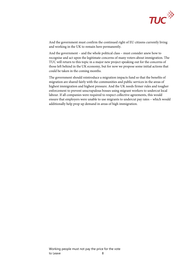

And the government must confirm the continued right of EU citizens currently living and working in the UK to remain here permanently.

And the government – and the whole political class – must consider anew how to recognise and act upon the legitimate concerns of many voters about immigration. The TUC will return to this topic in a major new project speaking out for the concerns of those left behind in the UK economy, but for now we propose some initial actions that could be taken in the coming months.

The government should reintroduce a migration impacts fund so that the benefits of migration are shared fairly with the communities and public services in the areas of highest immigration and highest pressure. And the UK needs firmer rules and tougher enforcement to prevent unscrupulous bosses using migrant workers to undercut local labour. If all companies were required to respect collective agreements, this would ensure that employers were unable to use migrants to undercut pay rates – which would additionally help prop up demand in areas of high immigration.